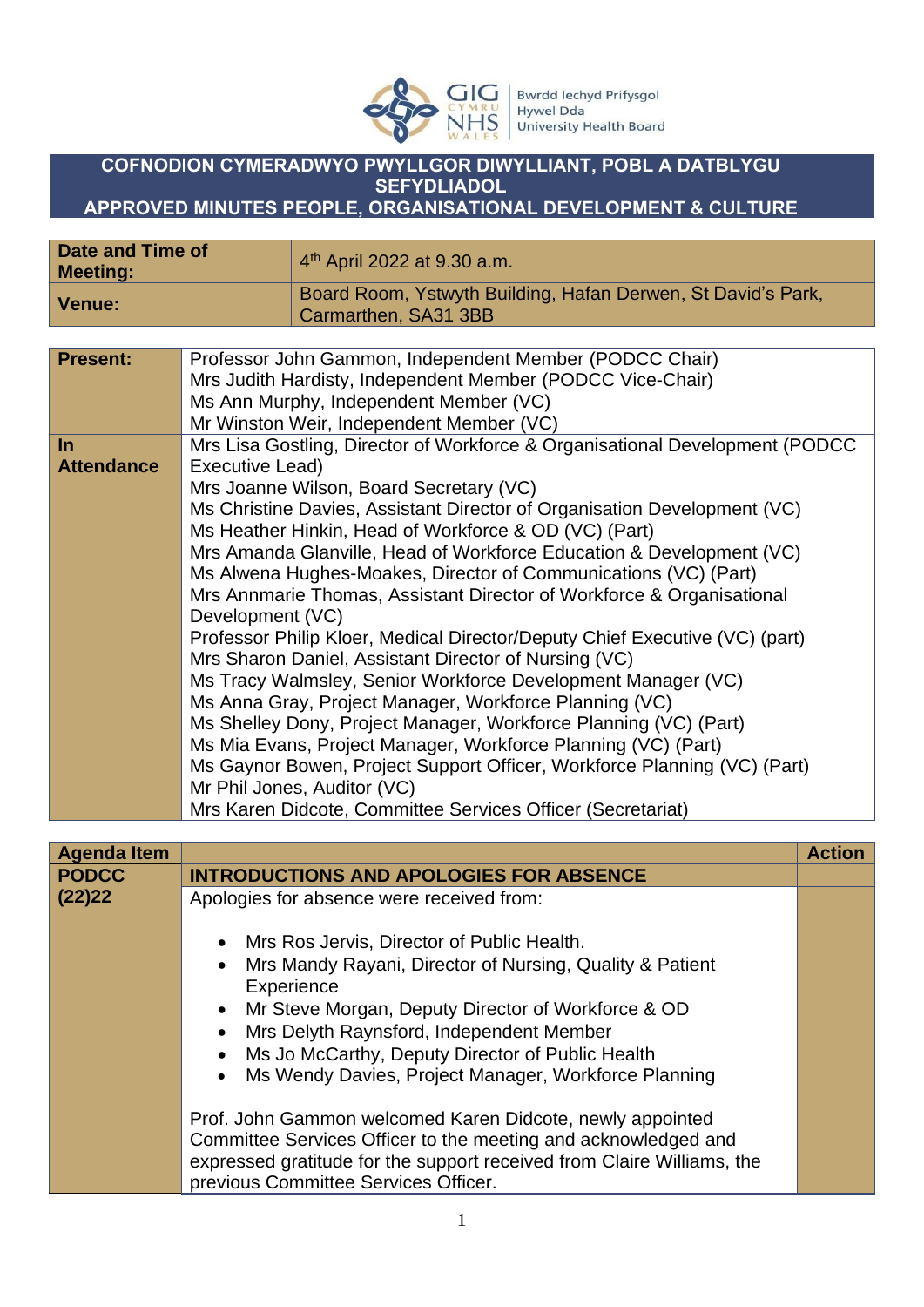

## **COFNODION CYMERADWYO PWYLLGOR DIWYLLIANT, POBL A DATBLYGU SEFYDLIADOL**

**APPROVED MINUTES PEOPLE, ORGANISATIONAL DEVELOPMENT & CULTURE** 

| Date and Time of<br><b>Meeting:</b> | 4 <sup>th</sup> April 2022 at 9.30 a.m.                                              |
|-------------------------------------|--------------------------------------------------------------------------------------|
| Venue:                              | Board Room, Ystwyth Building, Hafan Derwen, St David's Park,<br>Carmarthen, SA31 3BB |

| <b>Present:</b>   | Professor John Gammon, Independent Member (PODCC Chair)                       |
|-------------------|-------------------------------------------------------------------------------|
|                   | Mrs Judith Hardisty, Independent Member (PODCC Vice-Chair)                    |
|                   | Ms Ann Murphy, Independent Member (VC)                                        |
|                   | Mr Winston Weir, Independent Member (VC)                                      |
| In                | Mrs Lisa Gostling, Director of Workforce & Organisational Development (PODCC) |
| <b>Attendance</b> | Executive Lead)                                                               |
|                   | Mrs Joanne Wilson, Board Secretary (VC)                                       |
|                   | Ms Christine Davies, Assistant Director of Organisation Development (VC)      |
|                   | Ms Heather Hinkin, Head of Workforce & OD (VC) (Part)                         |
|                   | Mrs Amanda Glanville, Head of Workforce Education & Development (VC)          |
|                   | Ms Alwena Hughes-Moakes, Director of Communications (VC) (Part)               |
|                   | Mrs Annmarie Thomas, Assistant Director of Workforce & Organisational         |
|                   | Development (VC)                                                              |
|                   | Professor Philip Kloer, Medical Director/Deputy Chief Executive (VC) (part)   |
|                   | Mrs Sharon Daniel, Assistant Director of Nursing (VC)                         |
|                   | Ms Tracy Walmsley, Senior Workforce Development Manager (VC)                  |
|                   | Ms Anna Gray, Project Manager, Workforce Planning (VC)                        |
|                   | Ms Shelley Dony, Project Manager, Workforce Planning (VC) (Part)              |
|                   | Ms Mia Evans, Project Manager, Workforce Planning (VC) (Part)                 |
|                   | Ms Gaynor Bowen, Project Support Officer, Workforce Planning (VC) (Part)      |
|                   | Mr Phil Jones, Auditor (VC)                                                   |
|                   | Mrs Karen Didcote, Committee Services Officer (Secretariat)                   |

| <b>Agenda Item</b> |                                                                                                                                  | <b>Action</b> |
|--------------------|----------------------------------------------------------------------------------------------------------------------------------|---------------|
| <b>PODCC</b>       | <b>INTRODUCTIONS AND APOLOGIES FOR ABSENCE</b>                                                                                   |               |
| (22)22             | Apologies for absence were received from:                                                                                        |               |
|                    | Mrs Ros Jervis, Director of Public Health.<br>$\bullet$<br>Mrs Mandy Rayani, Director of Nursing, Quality & Patient<br>$\bullet$ |               |
|                    | Experience                                                                                                                       |               |
|                    | Mr Steve Morgan, Deputy Director of Workforce & OD<br>$\bullet$                                                                  |               |
|                    | Mrs Delyth Raynsford, Independent Member                                                                                         |               |
|                    | Ms Jo McCarthy, Deputy Director of Public Health                                                                                 |               |
|                    | Ms Wendy Davies, Project Manager, Workforce Planning<br>$\bullet$                                                                |               |
|                    | Prof. John Gammon welcomed Karen Didcote, newly appointed                                                                        |               |
|                    | Committee Services Officer to the meeting and acknowledged and                                                                   |               |
|                    | expressed gratitude for the support received from Claire Williams, the<br>previous Committee Services Officer.                   |               |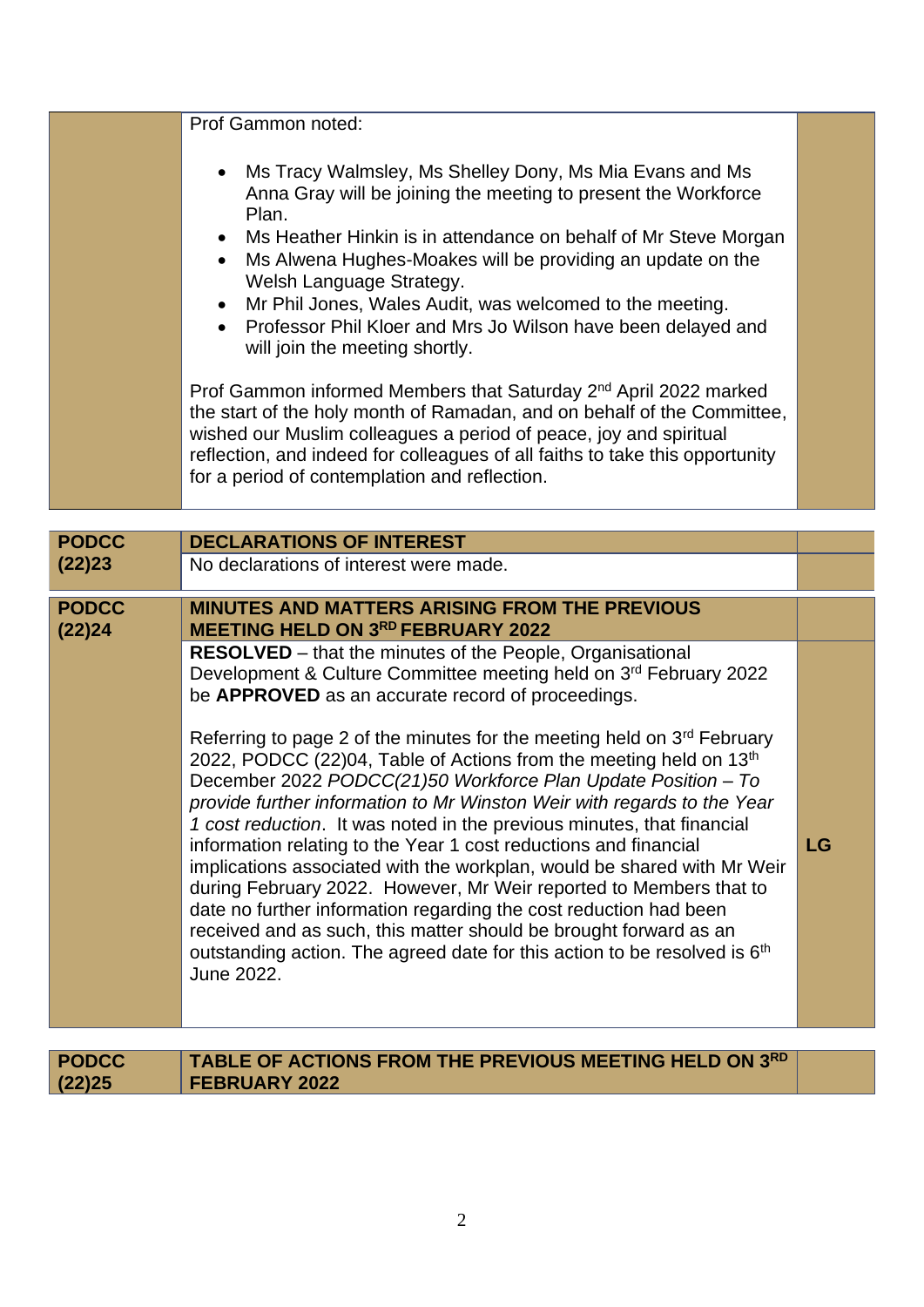| Prof Gammon noted:                                                                                                                                                                                                                                                                                                                                            |  |
|---------------------------------------------------------------------------------------------------------------------------------------------------------------------------------------------------------------------------------------------------------------------------------------------------------------------------------------------------------------|--|
| • Ms Tracy Walmsley, Ms Shelley Dony, Ms Mia Evans and Ms<br>Anna Gray will be joining the meeting to present the Workforce<br>Plan.<br>• Ms Heather Hinkin is in attendance on behalf of Mr Steve Morgan<br>Ms Alwena Hughes-Moakes will be providing an update on the<br>Welsh Language Strategy.                                                           |  |
| • Mr Phil Jones, Wales Audit, was welcomed to the meeting.<br>• Professor Phil Kloer and Mrs Jo Wilson have been delayed and<br>will join the meeting shortly.                                                                                                                                                                                                |  |
| Prof Gammon informed Members that Saturday 2 <sup>nd</sup> April 2022 marked<br>the start of the holy month of Ramadan, and on behalf of the Committee,<br>wished our Muslim colleagues a period of peace, joy and spiritual<br>reflection, and indeed for colleagues of all faiths to take this opportunity<br>for a period of contemplation and reflection. |  |

| <b>PODCC</b>           | <b>DECLARATIONS OF INTEREST</b>                                                                                                                                                                                                                                                                                                                                                                                                                                                                                                                                                                                                                                                                                                                                                                                                                                                                                                                                                                                                                                 |    |
|------------------------|-----------------------------------------------------------------------------------------------------------------------------------------------------------------------------------------------------------------------------------------------------------------------------------------------------------------------------------------------------------------------------------------------------------------------------------------------------------------------------------------------------------------------------------------------------------------------------------------------------------------------------------------------------------------------------------------------------------------------------------------------------------------------------------------------------------------------------------------------------------------------------------------------------------------------------------------------------------------------------------------------------------------------------------------------------------------|----|
| (22)23                 | No declarations of interest were made.                                                                                                                                                                                                                                                                                                                                                                                                                                                                                                                                                                                                                                                                                                                                                                                                                                                                                                                                                                                                                          |    |
| <b>PODCC</b><br>(22)24 | <b>MINUTES AND MATTERS ARISING FROM THE PREVIOUS</b><br><b>MEETING HELD ON 3RD FEBRUARY 2022</b>                                                                                                                                                                                                                                                                                                                                                                                                                                                                                                                                                                                                                                                                                                                                                                                                                                                                                                                                                                |    |
|                        | <b>RESOLVED</b> – that the minutes of the People, Organisational<br>Development & Culture Committee meeting held on 3rd February 2022<br>be APPROVED as an accurate record of proceedings.<br>Referring to page 2 of the minutes for the meeting held on 3 <sup>rd</sup> February<br>2022, PODCC (22)04, Table of Actions from the meeting held on 13 <sup>th</sup><br>December 2022 PODCC(21)50 Workforce Plan Update Position - To<br>provide further information to Mr Winston Weir with regards to the Year<br>1 cost reduction. It was noted in the previous minutes, that financial<br>information relating to the Year 1 cost reductions and financial<br>implications associated with the workplan, would be shared with Mr Weir<br>during February 2022. However, Mr Weir reported to Members that to<br>date no further information regarding the cost reduction had been<br>received and as such, this matter should be brought forward as an<br>outstanding action. The agreed date for this action to be resolved is 6 <sup>th</sup><br>June 2022. | LG |
| <b>PODCC</b>           | TABLE OF ACTIONS FROM THE PREVIOUS MEETING HELD ON 3RD                                                                                                                                                                                                                                                                                                                                                                                                                                                                                                                                                                                                                                                                                                                                                                                                                                                                                                                                                                                                          |    |

**FEBRUARY 2022**

**(22)25**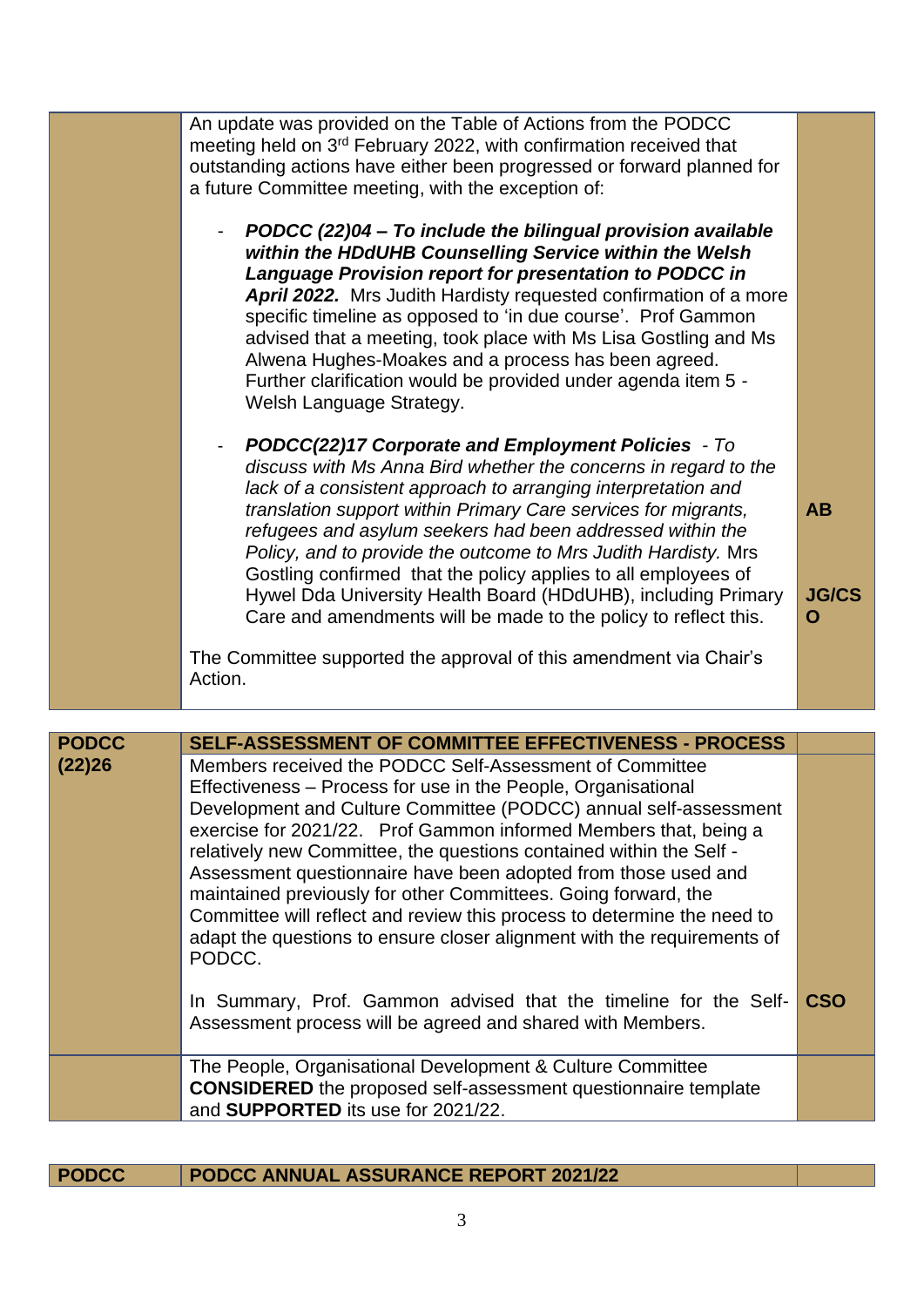| An update was provided on the Table of Actions from the PODCC<br>meeting held on 3 <sup>rd</sup> February 2022, with confirmation received that<br>outstanding actions have either been progressed or forward planned for<br>a future Committee meeting, with the exception of:                                                                                                                                                                                                                                                                                                                      |                                |
|------------------------------------------------------------------------------------------------------------------------------------------------------------------------------------------------------------------------------------------------------------------------------------------------------------------------------------------------------------------------------------------------------------------------------------------------------------------------------------------------------------------------------------------------------------------------------------------------------|--------------------------------|
| PODCC (22)04 - To include the bilingual provision available<br>within the HDdUHB Counselling Service within the Welsh<br>Language Provision report for presentation to PODCC in<br>April 2022. Mrs Judith Hardisty requested confirmation of a more<br>specific timeline as opposed to 'in due course'. Prof Gammon<br>advised that a meeting, took place with Ms Lisa Gostling and Ms<br>Alwena Hughes-Moakes and a process has been agreed.<br>Further clarification would be provided under agenda item 5 -<br>Welsh Language Strategy.                                                           |                                |
| <b>PODCC(22)17 Corporate and Employment Policies - To</b><br>discuss with Ms Anna Bird whether the concerns in regard to the<br>lack of a consistent approach to arranging interpretation and<br>translation support within Primary Care services for migrants,<br>refugees and asylum seekers had been addressed within the<br>Policy, and to provide the outcome to Mrs Judith Hardisty. Mrs<br>Gostling confirmed that the policy applies to all employees of<br>Hywel Dda University Health Board (HDdUHB), including Primary<br>Care and amendments will be made to the policy to reflect this. | <b>AB</b><br><b>JG/CS</b><br>O |
| The Committee supported the approval of this amendment via Chair's<br>Action.                                                                                                                                                                                                                                                                                                                                                                                                                                                                                                                        |                                |

| <b>PODCC</b> | <b>SELF-ASSESSMENT OF COMMITTEE EFFECTIVENESS - PROCESS</b>                                                                                                                                                                                                                                                                                                                                                                                                                                                                                                                                                                                 |     |
|--------------|---------------------------------------------------------------------------------------------------------------------------------------------------------------------------------------------------------------------------------------------------------------------------------------------------------------------------------------------------------------------------------------------------------------------------------------------------------------------------------------------------------------------------------------------------------------------------------------------------------------------------------------------|-----|
| (22)26       | Members received the PODCC Self-Assessment of Committee<br>Effectiveness – Process for use in the People, Organisational<br>Development and Culture Committee (PODCC) annual self-assessment<br>exercise for 2021/22. Prof Gammon informed Members that, being a<br>relatively new Committee, the questions contained within the Self -<br>Assessment questionnaire have been adopted from those used and<br>maintained previously for other Committees. Going forward, the<br>Committee will reflect and review this process to determine the need to<br>adapt the questions to ensure closer alignment with the requirements of<br>PODCC. |     |
|              | In Summary, Prof. Gammon advised that the timeline for the Self-<br>Assessment process will be agreed and shared with Members.                                                                                                                                                                                                                                                                                                                                                                                                                                                                                                              | CSO |
|              | The People, Organisational Development & Culture Committee<br><b>CONSIDERED</b> the proposed self-assessment questionnaire template<br>and SUPPORTED its use for 2021/22.                                                                                                                                                                                                                                                                                                                                                                                                                                                                   |     |

| <b>PODCC</b> | PODCC ANNUAL ASSURANCE REPORT 2021/22 |
|--------------|---------------------------------------|
|--------------|---------------------------------------|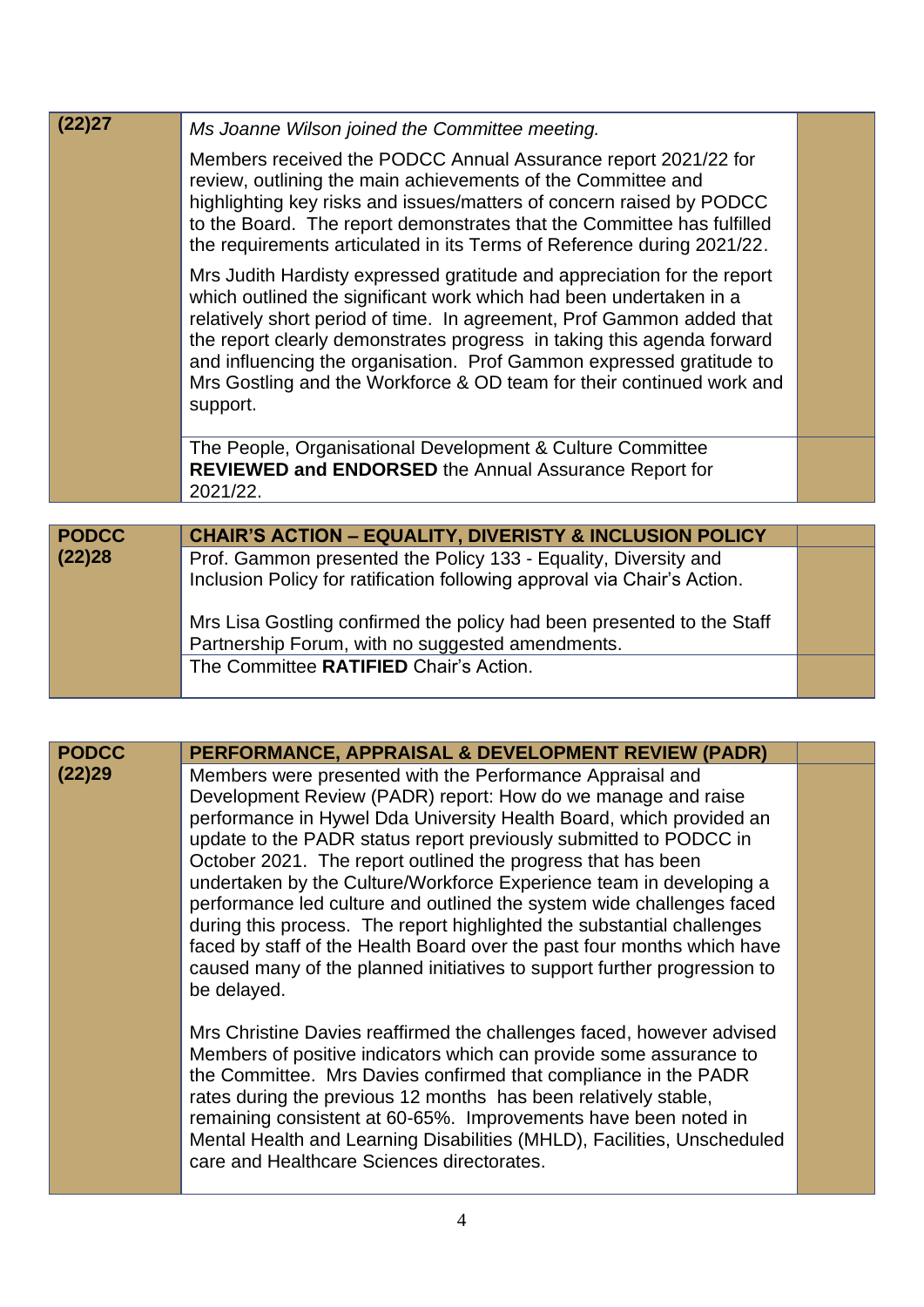| (22)27       | Ms Joanne Wilson joined the Committee meeting.                                                                                                                                                                                                                                                                                                                                                                                                                |  |
|--------------|---------------------------------------------------------------------------------------------------------------------------------------------------------------------------------------------------------------------------------------------------------------------------------------------------------------------------------------------------------------------------------------------------------------------------------------------------------------|--|
|              | Members received the PODCC Annual Assurance report 2021/22 for<br>review, outlining the main achievements of the Committee and<br>highlighting key risks and issues/matters of concern raised by PODCC<br>to the Board. The report demonstrates that the Committee has fulfilled<br>the requirements articulated in its Terms of Reference during 2021/22.                                                                                                    |  |
|              | Mrs Judith Hardisty expressed gratitude and appreciation for the report<br>which outlined the significant work which had been undertaken in a<br>relatively short period of time. In agreement, Prof Gammon added that<br>the report clearly demonstrates progress in taking this agenda forward<br>and influencing the organisation. Prof Gammon expressed gratitude to<br>Mrs Gostling and the Workforce & OD team for their continued work and<br>support. |  |
|              | The People, Organisational Development & Culture Committee<br><b>REVIEWED and ENDORSED the Annual Assurance Report for</b><br>2021/22.                                                                                                                                                                                                                                                                                                                        |  |
|              |                                                                                                                                                                                                                                                                                                                                                                                                                                                               |  |
| <b>PODCC</b> | <b>CHAIR'S ACTION - EQUALITY, DIVERISTY &amp; INCLUSION POLICY</b>                                                                                                                                                                                                                                                                                                                                                                                            |  |
| (22)28       | Prof. Gammon presented the Policy 133 - Equality, Diversity and<br>Inclusion Policy for ratification following approval via Chair's Action.                                                                                                                                                                                                                                                                                                                   |  |
|              | Mrs Lisa Gostling confirmed the policy had been presented to the Staff<br>Partnership Forum, with no suggested amendments.                                                                                                                                                                                                                                                                                                                                    |  |
|              | The Committee RATIFIED Chair's Action.                                                                                                                                                                                                                                                                                                                                                                                                                        |  |

| <b>PODCC</b> | PERFORMANCE, APPRAISAL & DEVELOPMENT REVIEW (PADR)                                                                                                                                                                                                                                                                                                                                                                                                                                                                                                                                                                                                                                                                                    |  |
|--------------|---------------------------------------------------------------------------------------------------------------------------------------------------------------------------------------------------------------------------------------------------------------------------------------------------------------------------------------------------------------------------------------------------------------------------------------------------------------------------------------------------------------------------------------------------------------------------------------------------------------------------------------------------------------------------------------------------------------------------------------|--|
| (22)29       | Members were presented with the Performance Appraisal and<br>Development Review (PADR) report: How do we manage and raise<br>performance in Hywel Dda University Health Board, which provided an<br>update to the PADR status report previously submitted to PODCC in<br>October 2021. The report outlined the progress that has been<br>undertaken by the Culture/Workforce Experience team in developing a<br>performance led culture and outlined the system wide challenges faced<br>during this process. The report highlighted the substantial challenges<br>faced by staff of the Health Board over the past four months which have<br>caused many of the planned initiatives to support further progression to<br>be delayed. |  |
|              | Mrs Christine Davies reaffirmed the challenges faced, however advised<br>Members of positive indicators which can provide some assurance to<br>the Committee. Mrs Davies confirmed that compliance in the PADR<br>rates during the previous 12 months has been relatively stable,<br>remaining consistent at 60-65%. Improvements have been noted in<br>Mental Health and Learning Disabilities (MHLD), Facilities, Unscheduled<br>care and Healthcare Sciences directorates.                                                                                                                                                                                                                                                         |  |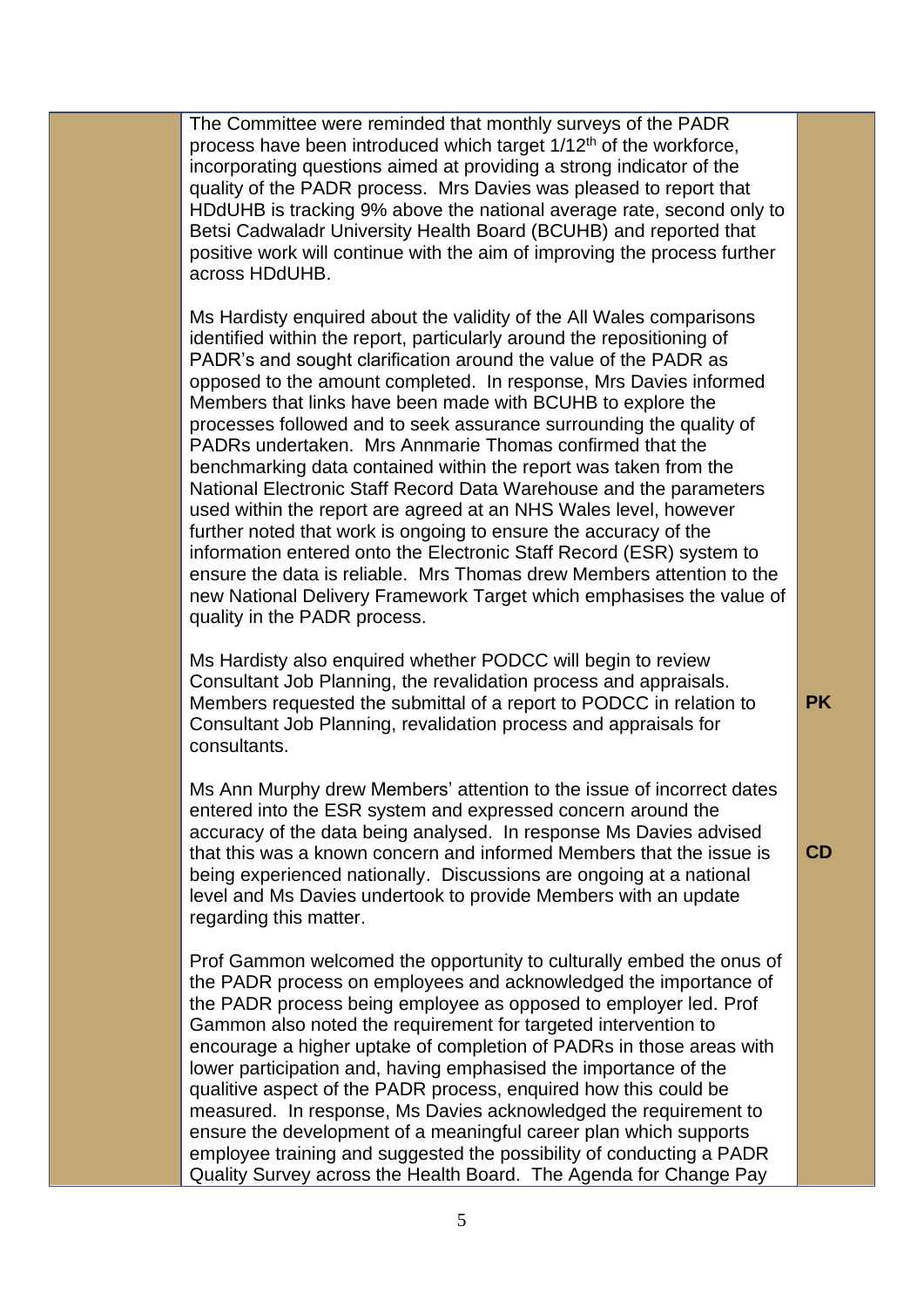The Committee were reminded that monthly surveys of the PADR process have been introduced which target  $1/12<sup>th</sup>$  of the workforce, incorporating questions aimed at providing a strong indicator of the quality of the PADR process. Mrs Davies was pleased to report that HDdUHB is tracking 9% above the national average rate, second only to Betsi Cadwaladr University Health Board (BCUHB) and reported that positive work will continue with the aim of improving the process further across HDdUHB.

Ms Hardisty enquired about the validity of the All Wales comparisons identified within the report, particularly around the repositioning of PADR's and sought clarification around the value of the PADR as opposed to the amount completed. In response, Mrs Davies informed Members that links have been made with BCUHB to explore the processes followed and to seek assurance surrounding the quality of PADRs undertaken. Mrs Annmarie Thomas confirmed that the benchmarking data contained within the report was taken from the National Electronic Staff Record Data Warehouse and the parameters used within the report are agreed at an NHS Wales level, however further noted that work is ongoing to ensure the accuracy of the information entered onto the Electronic Staff Record (ESR) system to ensure the data is reliable. Mrs Thomas drew Members attention to the new National Delivery Framework Target which emphasises the value of quality in the PADR process.

Ms Hardisty also enquired whether PODCC will begin to review Consultant Job Planning, the revalidation process and appraisals. Members requested the submittal of a report to PODCC in relation to Consultant Job Planning, revalidation process and appraisals for consultants.

Ms Ann Murphy drew Members' attention to the issue of incorrect dates entered into the ESR system and expressed concern around the accuracy of the data being analysed. In response Ms Davies advised that this was a known concern and informed Members that the issue is being experienced nationally. Discussions are ongoing at a national level and Ms Davies undertook to provide Members with an update regarding this matter.

Prof Gammon welcomed the opportunity to culturally embed the onus of the PADR process on employees and acknowledged the importance of the PADR process being employee as opposed to employer led. Prof Gammon also noted the requirement for targeted intervention to encourage a higher uptake of completion of PADRs in those areas with lower participation and, having emphasised the importance of the qualitive aspect of the PADR process, enquired how this could be measured. In response, Ms Davies acknowledged the requirement to ensure the development of a meaningful career plan which supports employee training and suggested the possibility of conducting a PADR Quality Survey across the Health Board. The Agenda for Change Pay

**PK**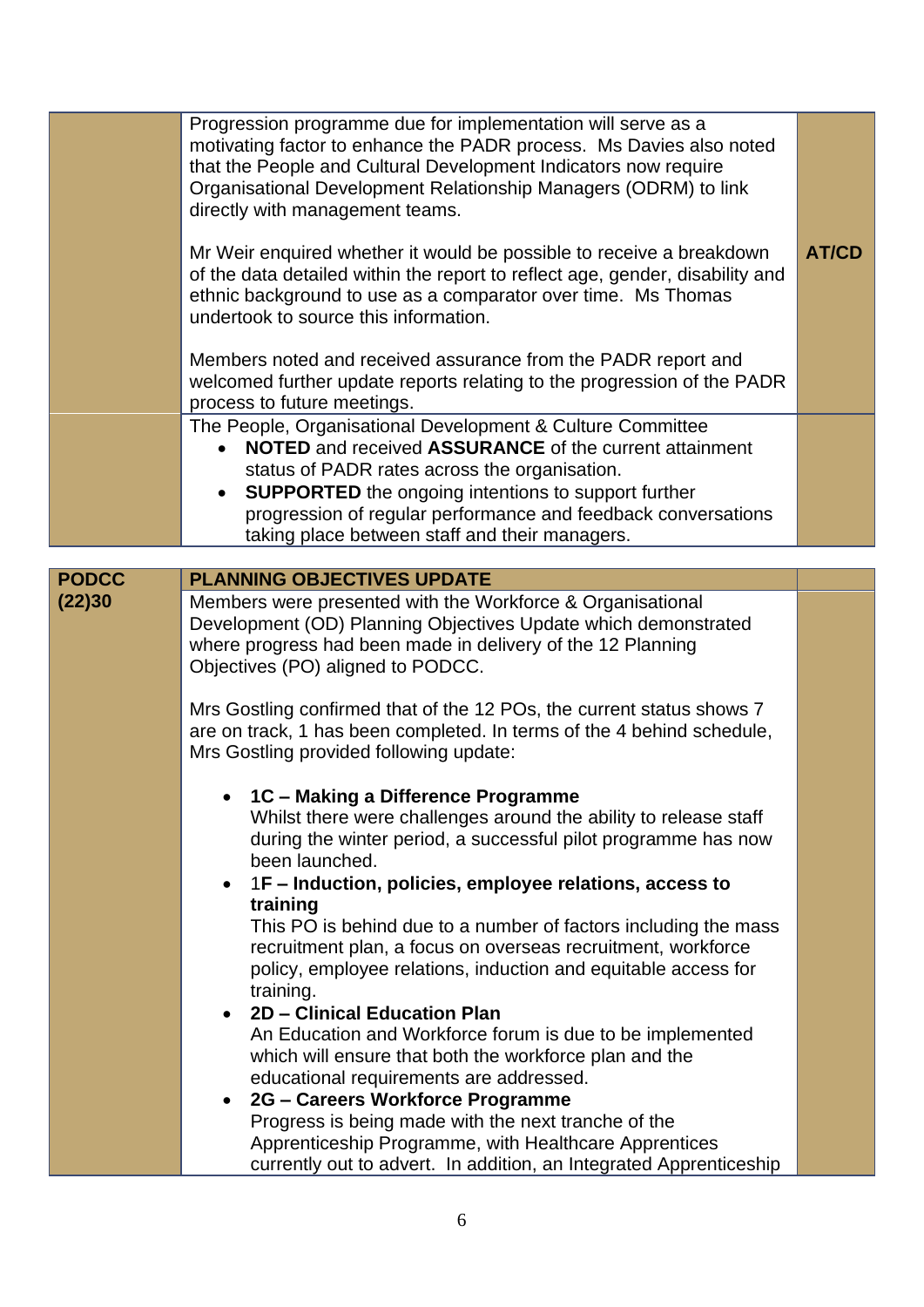|              | Progression programme due for implementation will serve as a<br>motivating factor to enhance the PADR process. Ms Davies also noted<br>that the People and Cultural Development Indicators now require<br>Organisational Development Relationship Managers (ODRM) to link<br>directly with management teams.<br>Mr Weir enquired whether it would be possible to receive a breakdown<br>of the data detailed within the report to reflect age, gender, disability and<br>ethnic background to use as a comparator over time. Ms Thomas<br>undertook to source this information. | <b>AT/CD</b> |
|--------------|---------------------------------------------------------------------------------------------------------------------------------------------------------------------------------------------------------------------------------------------------------------------------------------------------------------------------------------------------------------------------------------------------------------------------------------------------------------------------------------------------------------------------------------------------------------------------------|--------------|
|              | Members noted and received assurance from the PADR report and<br>welcomed further update reports relating to the progression of the PADR<br>process to future meetings.                                                                                                                                                                                                                                                                                                                                                                                                         |              |
|              | The People, Organisational Development & Culture Committee<br><b>NOTED</b> and received <b>ASSURANCE</b> of the current attainment<br>status of PADR rates across the organisation.<br><b>SUPPORTED</b> the ongoing intentions to support further<br>progression of regular performance and feedback conversations<br>taking place between staff and their managers.                                                                                                                                                                                                            |              |
|              |                                                                                                                                                                                                                                                                                                                                                                                                                                                                                                                                                                                 |              |
| <b>PODCC</b> | <b>PLANNING OBJECTIVES UPDATE</b>                                                                                                                                                                                                                                                                                                                                                                                                                                                                                                                                               |              |
| (22)30       | Members were presented with the Workforce & Organisational<br>Development (OD) Planning Objectives Update which demonstrated<br>where progress had been made in delivery of the 12 Planning<br>Objectives (PO) aligned to PODCC.                                                                                                                                                                                                                                                                                                                                                |              |
|              | Mrs Gostling confirmed that of the 12 POs, the current status shows 7<br>are on track, 1 has been completed. In terms of the 4 behind schedule,<br>Mrs Gostling provided following update:                                                                                                                                                                                                                                                                                                                                                                                      |              |
|              | • 1C – Making a Difference Programme<br>Whilst there were challenges around the ability to release staff<br>during the winter period, a successful pilot programme has now<br>been launched.<br>1F – Induction, policies, employee relations, access to                                                                                                                                                                                                                                                                                                                         |              |
|              | training<br>This PO is behind due to a number of factors including the mass<br>recruitment plan, a focus on overseas recruitment, workforce<br>policy, employee relations, induction and equitable access for<br>training.<br>2D - Clinical Education Plan<br>An Education and Workforce forum is due to be implemented<br>which will ensure that both the workforce plan and the<br>educational requirements are addressed.                                                                                                                                                    |              |
|              | 2G - Careers Workforce Programme<br>Progress is being made with the next tranche of the<br>Apprenticeship Programme, with Healthcare Apprentices<br>currently out to advert. In addition, an Integrated Apprenticeship                                                                                                                                                                                                                                                                                                                                                          |              |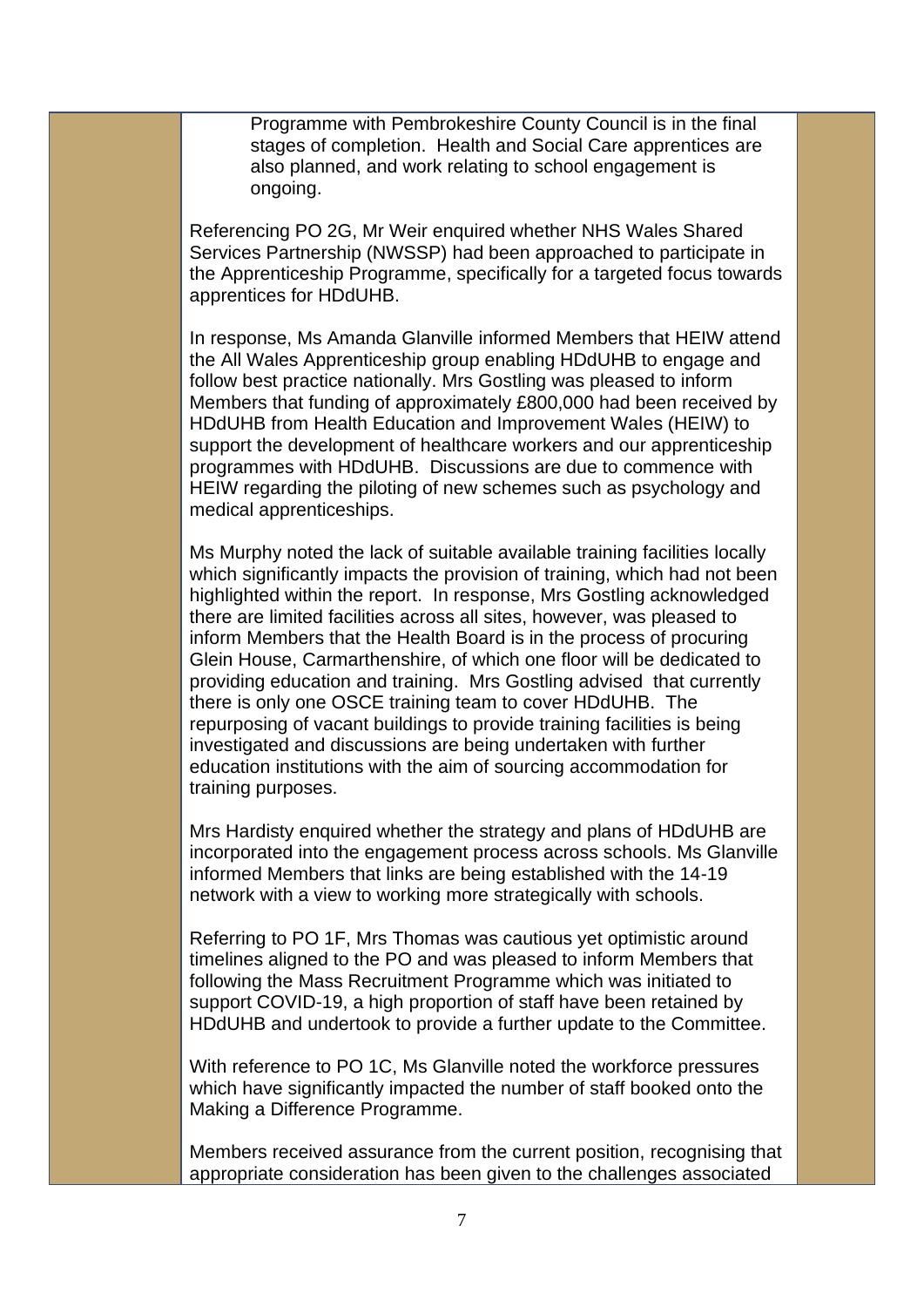Programme with Pembrokeshire County Council is in the final stages of completion. Health and Social Care apprentices are also planned, and work relating to school engagement is ongoing.

Referencing PO 2G, Mr Weir enquired whether NHS Wales Shared Services Partnership (NWSSP) had been approached to participate in the Apprenticeship Programme, specifically for a targeted focus towards apprentices for HDdUHB.

In response, Ms Amanda Glanville informed Members that HEIW attend the All Wales Apprenticeship group enabling HDdUHB to engage and follow best practice nationally. Mrs Gostling was pleased to inform Members that funding of approximately £800,000 had been received by HDdUHB from Health Education and Improvement Wales (HEIW) to support the development of healthcare workers and our apprenticeship programmes with HDdUHB. Discussions are due to commence with HEIW regarding the piloting of new schemes such as psychology and medical apprenticeships.

Ms Murphy noted the lack of suitable available training facilities locally which significantly impacts the provision of training, which had not been highlighted within the report. In response, Mrs Gostling acknowledged there are limited facilities across all sites, however, was pleased to inform Members that the Health Board is in the process of procuring Glein House, Carmarthenshire, of which one floor will be dedicated to providing education and training. Mrs Gostling advised that currently there is only one OSCE training team to cover HDdUHB. The repurposing of vacant buildings to provide training facilities is being investigated and discussions are being undertaken with further education institutions with the aim of sourcing accommodation for training purposes.

Mrs Hardisty enquired whether the strategy and plans of HDdUHB are incorporated into the engagement process across schools. Ms Glanville informed Members that links are being established with the 14-19 network with a view to working more strategically with schools.

Referring to PO 1F, Mrs Thomas was cautious yet optimistic around timelines aligned to the PO and was pleased to inform Members that following the Mass Recruitment Programme which was initiated to support COVID-19, a high proportion of staff have been retained by HDdUHB and undertook to provide a further update to the Committee.

With reference to PO 1C, Ms Glanville noted the workforce pressures which have significantly impacted the number of staff booked onto the Making a Difference Programme.

Members received assurance from the current position, recognising that appropriate consideration has been given to the challenges associated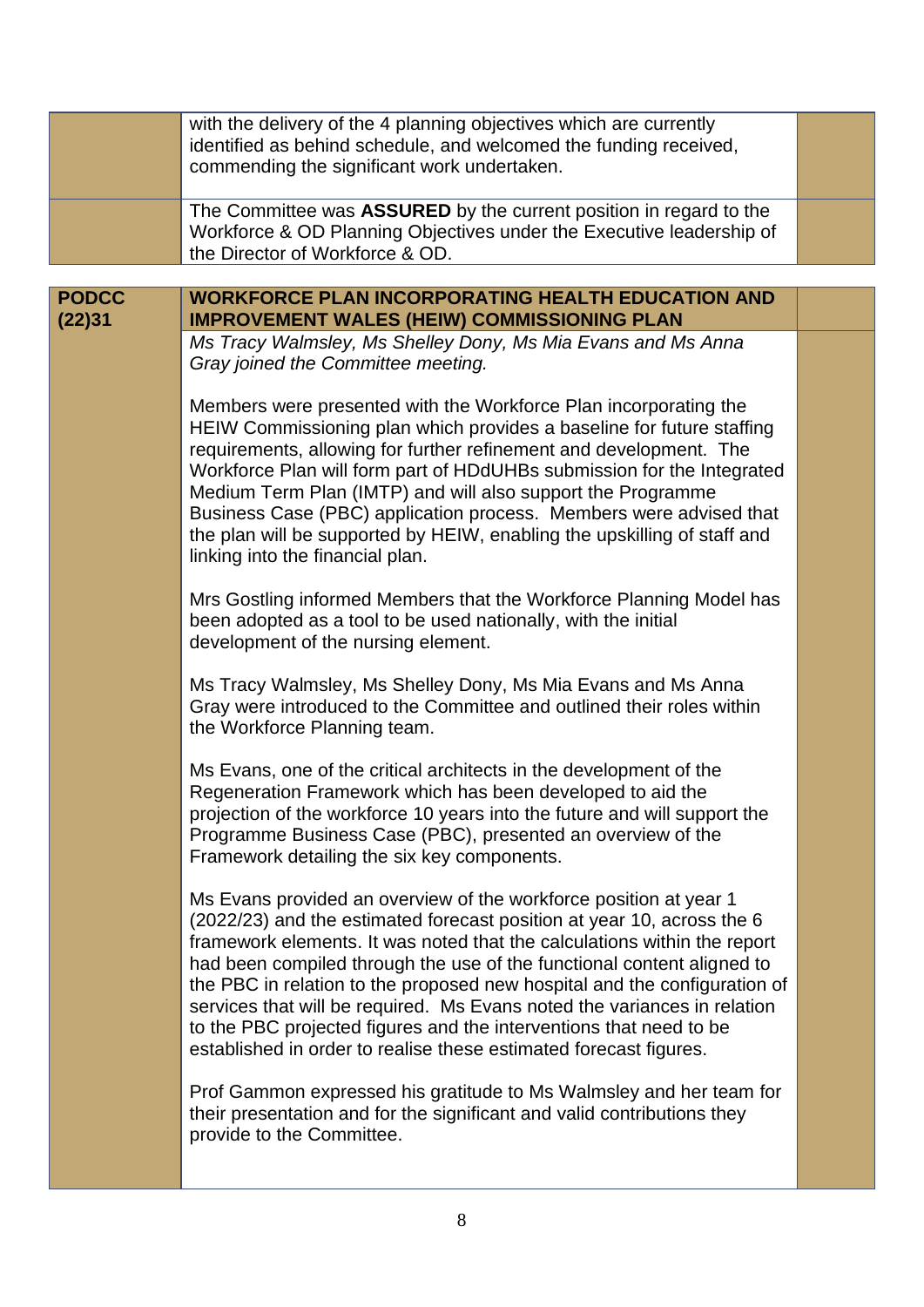|                        | with the delivery of the 4 planning objectives which are currently<br>identified as behind schedule, and welcomed the funding received,<br>commending the significant work undertaken.                                                                                                                                                                                                                                                                                                                                                                                                                |  |
|------------------------|-------------------------------------------------------------------------------------------------------------------------------------------------------------------------------------------------------------------------------------------------------------------------------------------------------------------------------------------------------------------------------------------------------------------------------------------------------------------------------------------------------------------------------------------------------------------------------------------------------|--|
|                        | The Committee was ASSURED by the current position in regard to the<br>Workforce & OD Planning Objectives under the Executive leadership of<br>the Director of Workforce & OD.                                                                                                                                                                                                                                                                                                                                                                                                                         |  |
|                        |                                                                                                                                                                                                                                                                                                                                                                                                                                                                                                                                                                                                       |  |
| <b>PODCC</b><br>(22)31 | <b>WORKFORCE PLAN INCORPORATING HEALTH EDUCATION AND</b><br><b>IMPROVEMENT WALES (HEIW) COMMISSIONING PLAN</b>                                                                                                                                                                                                                                                                                                                                                                                                                                                                                        |  |
|                        | Ms Tracy Walmsley, Ms Shelley Dony, Ms Mia Evans and Ms Anna<br>Gray joined the Committee meeting.                                                                                                                                                                                                                                                                                                                                                                                                                                                                                                    |  |
|                        | Members were presented with the Workforce Plan incorporating the<br>HEIW Commissioning plan which provides a baseline for future staffing<br>requirements, allowing for further refinement and development. The<br>Workforce Plan will form part of HDdUHBs submission for the Integrated<br>Medium Term Plan (IMTP) and will also support the Programme<br>Business Case (PBC) application process. Members were advised that<br>the plan will be supported by HEIW, enabling the upskilling of staff and<br>linking into the financial plan.                                                        |  |
|                        | Mrs Gostling informed Members that the Workforce Planning Model has<br>been adopted as a tool to be used nationally, with the initial<br>development of the nursing element.                                                                                                                                                                                                                                                                                                                                                                                                                          |  |
|                        | Ms Tracy Walmsley, Ms Shelley Dony, Ms Mia Evans and Ms Anna<br>Gray were introduced to the Committee and outlined their roles within<br>the Workforce Planning team.                                                                                                                                                                                                                                                                                                                                                                                                                                 |  |
|                        | Ms Evans, one of the critical architects in the development of the<br>Regeneration Framework which has been developed to aid the<br>projection of the workforce 10 years into the future and will support the<br>Programme Business Case (PBC), presented an overview of the<br>Framework detailing the six key components.                                                                                                                                                                                                                                                                           |  |
|                        | Ms Evans provided an overview of the workforce position at year 1<br>(2022/23) and the estimated forecast position at year 10, across the 6<br>framework elements. It was noted that the calculations within the report<br>had been compiled through the use of the functional content aligned to<br>the PBC in relation to the proposed new hospital and the configuration of<br>services that will be required. Ms Evans noted the variances in relation<br>to the PBC projected figures and the interventions that need to be<br>established in order to realise these estimated forecast figures. |  |
|                        | Prof Gammon expressed his gratitude to Ms Walmsley and her team for<br>their presentation and for the significant and valid contributions they<br>provide to the Committee.                                                                                                                                                                                                                                                                                                                                                                                                                           |  |
|                        |                                                                                                                                                                                                                                                                                                                                                                                                                                                                                                                                                                                                       |  |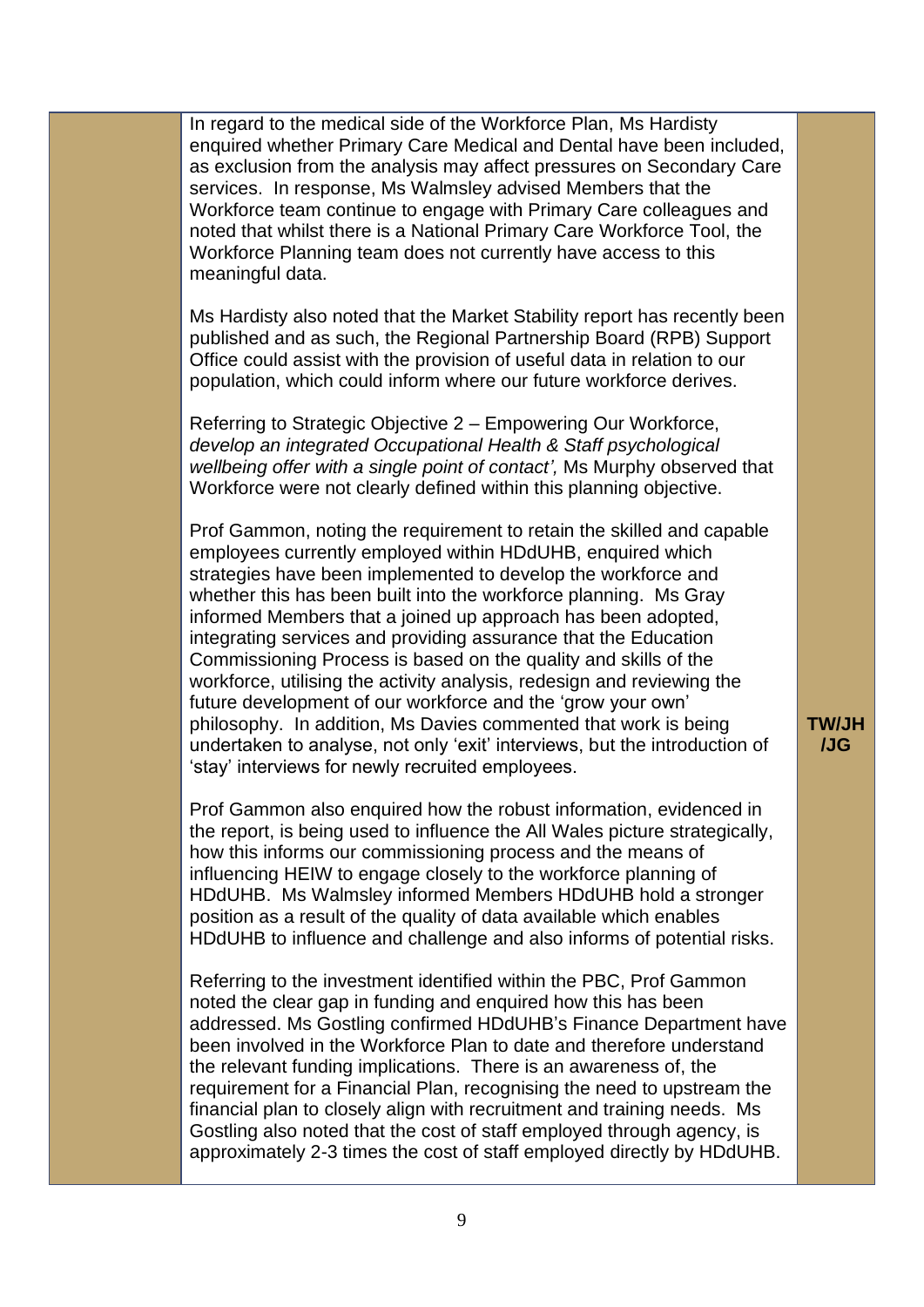In regard to the medical side of the Workforce Plan, Ms Hardisty enquired whether Primary Care Medical and Dental have been included, as exclusion from the analysis may affect pressures on Secondary Care services. In response, Ms Walmsley advised Members that the Workforce team continue to engage with Primary Care colleagues and noted that whilst there is a National Primary Care Workforce Tool, the Workforce Planning team does not currently have access to this meaningful data.

Ms Hardisty also noted that the Market Stability report has recently been published and as such, the Regional Partnership Board (RPB) Support Office could assist with the provision of useful data in relation to our population, which could inform where our future workforce derives.

Referring to Strategic Objective 2 – Empowering Our Workforce, *develop an integrated Occupational Health & Staff psychological wellbeing offer with a single point of contact',* Ms Murphy observed that Workforce were not clearly defined within this planning objective.

Prof Gammon, noting the requirement to retain the skilled and capable employees currently employed within HDdUHB, enquired which strategies have been implemented to develop the workforce and whether this has been built into the workforce planning. Ms Gray informed Members that a joined up approach has been adopted, integrating services and providing assurance that the Education Commissioning Process is based on the quality and skills of the workforce, utilising the activity analysis, redesign and reviewing the future development of our workforce and the 'grow your own' philosophy. In addition, Ms Davies commented that work is being undertaken to analyse, not only 'exit' interviews, but the introduction of 'stay' interviews for newly recruited employees.

Prof Gammon also enquired how the robust information, evidenced in the report, is being used to influence the All Wales picture strategically, how this informs our commissioning process and the means of influencing HEIW to engage closely to the workforce planning of HDdUHB. Ms Walmsley informed Members HDdUHB hold a stronger position as a result of the quality of data available which enables HDdUHB to influence and challenge and also informs of potential risks.

Referring to the investment identified within the PBC, Prof Gammon noted the clear gap in funding and enquired how this has been addressed. Ms Gostling confirmed HDdUHB's Finance Department have been involved in the Workforce Plan to date and therefore understand the relevant funding implications. There is an awareness of, the requirement for a Financial Plan, recognising the need to upstream the financial plan to closely align with recruitment and training needs. Ms Gostling also noted that the cost of staff employed through agency, is approximately 2-3 times the cost of staff employed directly by HDdUHB.

## **TW/JH /JG**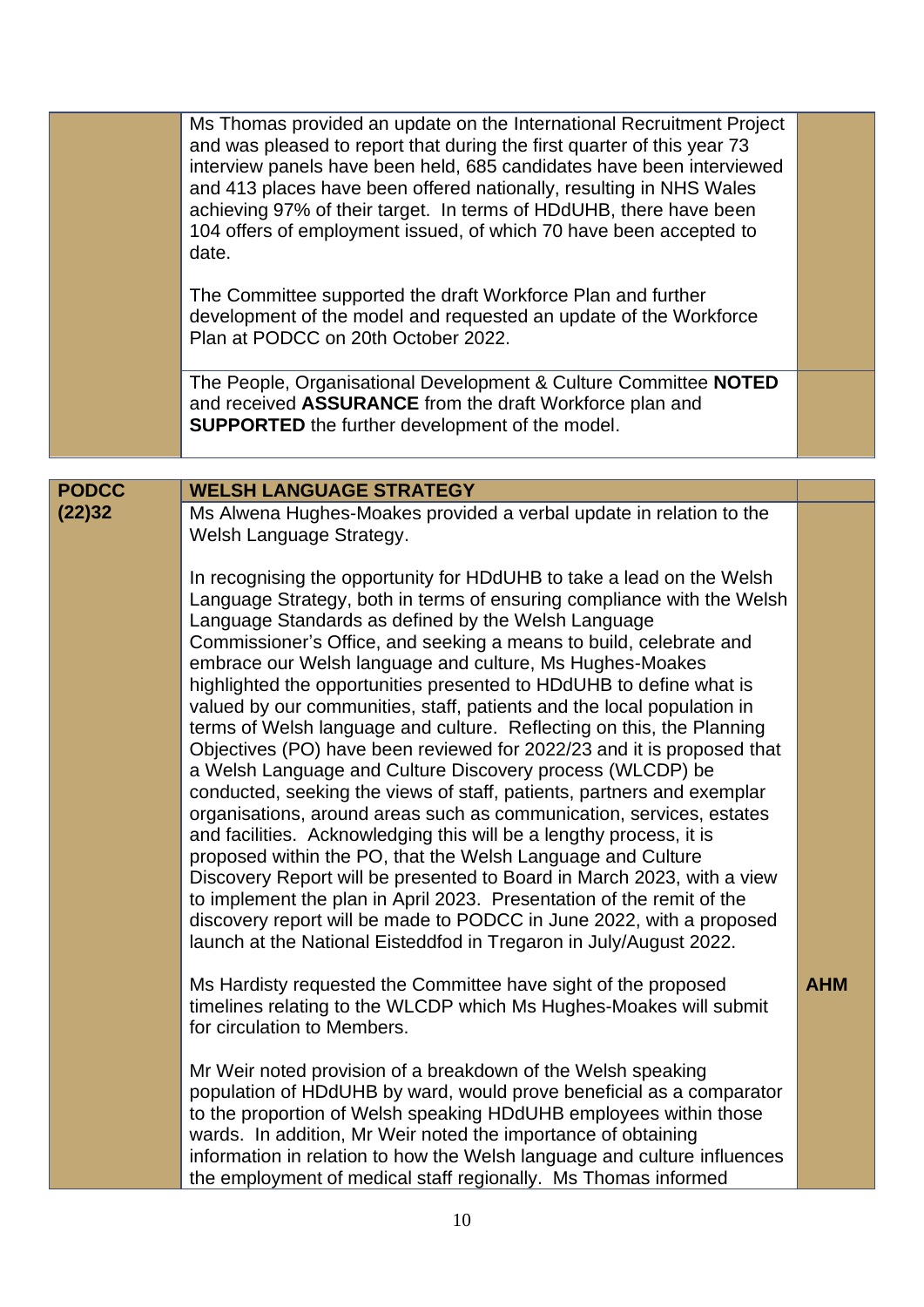|                        | Ms Thomas provided an update on the International Recruitment Project<br>and was pleased to report that during the first quarter of this year 73<br>interview panels have been held, 685 candidates have been interviewed<br>and 413 places have been offered nationally, resulting in NHS Wales<br>achieving 97% of their target. In terms of HDdUHB, there have been<br>104 offers of employment issued, of which 70 have been accepted to<br>date.<br>The Committee supported the draft Workforce Plan and further<br>development of the model and requested an update of the Workforce<br>Plan at PODCC on 20th October 2022.<br>The People, Organisational Development & Culture Committee NOTED<br>and received ASSURANCE from the draft Workforce plan and                                                                                                                                                                                              |            |
|------------------------|----------------------------------------------------------------------------------------------------------------------------------------------------------------------------------------------------------------------------------------------------------------------------------------------------------------------------------------------------------------------------------------------------------------------------------------------------------------------------------------------------------------------------------------------------------------------------------------------------------------------------------------------------------------------------------------------------------------------------------------------------------------------------------------------------------------------------------------------------------------------------------------------------------------------------------------------------------------|------------|
|                        | <b>SUPPORTED</b> the further development of the model.                                                                                                                                                                                                                                                                                                                                                                                                                                                                                                                                                                                                                                                                                                                                                                                                                                                                                                         |            |
|                        |                                                                                                                                                                                                                                                                                                                                                                                                                                                                                                                                                                                                                                                                                                                                                                                                                                                                                                                                                                |            |
| <b>PODCC</b><br>(22)32 | <b>WELSH LANGUAGE STRATEGY</b><br>Ms Alwena Hughes-Moakes provided a verbal update in relation to the                                                                                                                                                                                                                                                                                                                                                                                                                                                                                                                                                                                                                                                                                                                                                                                                                                                          |            |
|                        | Welsh Language Strategy.<br>In recognising the opportunity for HDdUHB to take a lead on the Welsh<br>Language Strategy, both in terms of ensuring compliance with the Welsh<br>Language Standards as defined by the Welsh Language<br>Commissioner's Office, and seeking a means to build, celebrate and<br>embrace our Welsh language and culture, Ms Hughes-Moakes<br>highlighted the opportunities presented to HDdUHB to define what is<br>valued by our communities, staff, patients and the local population in<br>terms of Welsh language and culture. Reflecting on this, the Planning<br>Objectives (PO) have been reviewed for 2022/23 and it is proposed that<br>a Welsh Language and Culture Discovery process (WLCDP) be<br>conducted, seeking the views of staff, patients, partners and exemplar<br>organisations, around areas such as communication, services, estates<br>and facilities. Acknowledging this will be a lengthy process, it is |            |
|                        | proposed within the PO, that the Welsh Language and Culture<br>Discovery Report will be presented to Board in March 2023, with a view<br>to implement the plan in April 2023. Presentation of the remit of the<br>discovery report will be made to PODCC in June 2022, with a proposed<br>launch at the National Eisteddfod in Tregaron in July/August 2022.                                                                                                                                                                                                                                                                                                                                                                                                                                                                                                                                                                                                   |            |
|                        | Ms Hardisty requested the Committee have sight of the proposed<br>timelines relating to the WLCDP which Ms Hughes-Moakes will submit<br>for circulation to Members.                                                                                                                                                                                                                                                                                                                                                                                                                                                                                                                                                                                                                                                                                                                                                                                            | <b>AHM</b> |
|                        | Mr Weir noted provision of a breakdown of the Welsh speaking<br>population of HDdUHB by ward, would prove beneficial as a comparator<br>to the proportion of Welsh speaking HDdUHB employees within those<br>wards. In addition, Mr Weir noted the importance of obtaining<br>information in relation to how the Welsh language and culture influences<br>the employment of medical staff regionally. Ms Thomas informed                                                                                                                                                                                                                                                                                                                                                                                                                                                                                                                                       |            |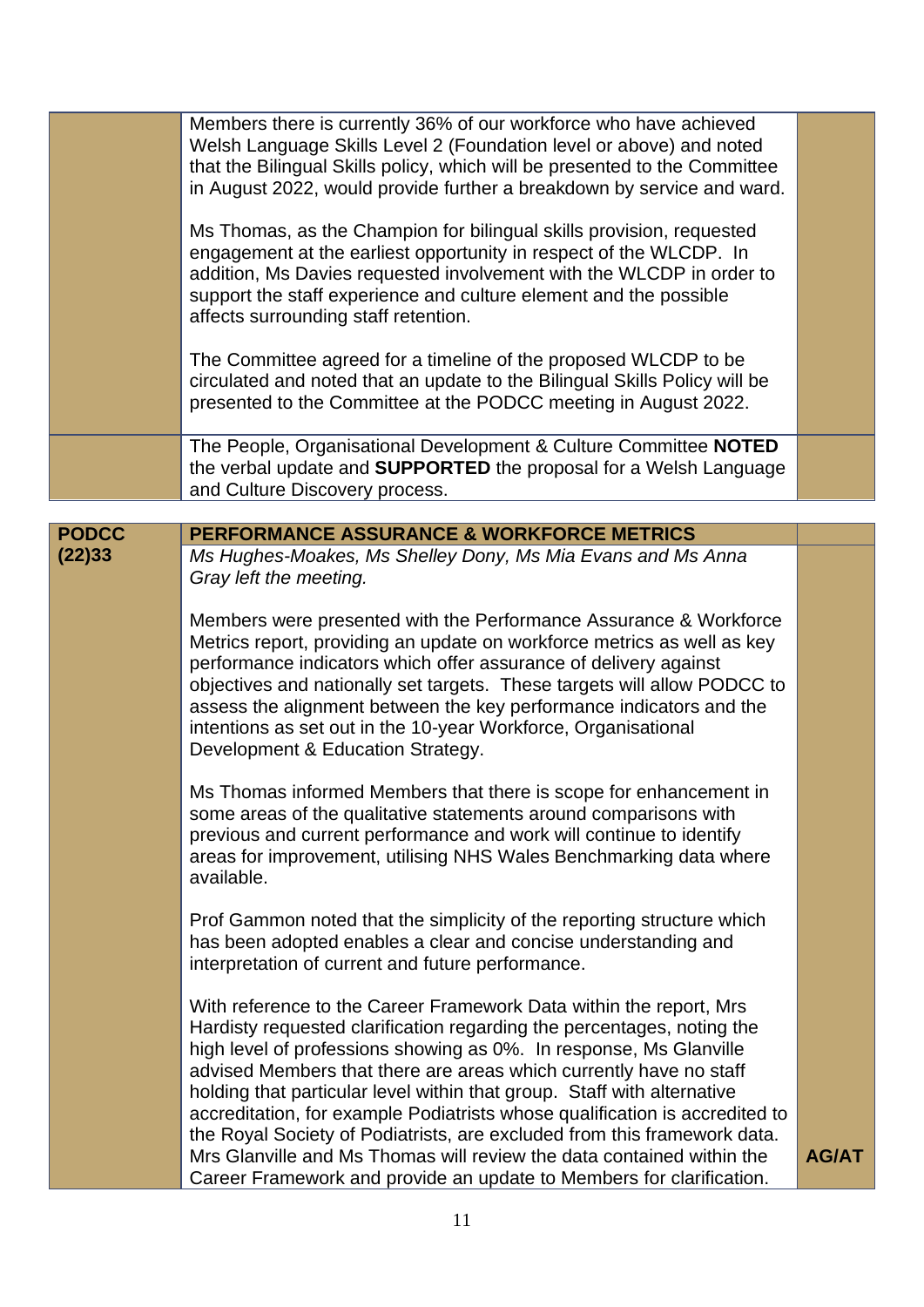|              | Members there is currently 36% of our workforce who have achieved<br>Welsh Language Skills Level 2 (Foundation level or above) and noted<br>that the Bilingual Skills policy, which will be presented to the Committee<br>in August 2022, would provide further a breakdown by service and ward.                                                                                                                                                                                                                                                                                                                                                                                |              |
|--------------|---------------------------------------------------------------------------------------------------------------------------------------------------------------------------------------------------------------------------------------------------------------------------------------------------------------------------------------------------------------------------------------------------------------------------------------------------------------------------------------------------------------------------------------------------------------------------------------------------------------------------------------------------------------------------------|--------------|
|              | Ms Thomas, as the Champion for bilingual skills provision, requested<br>engagement at the earliest opportunity in respect of the WLCDP. In<br>addition, Ms Davies requested involvement with the WLCDP in order to<br>support the staff experience and culture element and the possible<br>affects surrounding staff retention.                                                                                                                                                                                                                                                                                                                                                 |              |
|              | The Committee agreed for a timeline of the proposed WLCDP to be<br>circulated and noted that an update to the Bilingual Skills Policy will be<br>presented to the Committee at the PODCC meeting in August 2022.                                                                                                                                                                                                                                                                                                                                                                                                                                                                |              |
|              | The People, Organisational Development & Culture Committee NOTED<br>the verbal update and <b>SUPPORTED</b> the proposal for a Welsh Language<br>and Culture Discovery process.                                                                                                                                                                                                                                                                                                                                                                                                                                                                                                  |              |
|              |                                                                                                                                                                                                                                                                                                                                                                                                                                                                                                                                                                                                                                                                                 |              |
| <b>PODCC</b> | <b>PERFORMANCE ASSURANCE &amp; WORKFORCE METRICS</b>                                                                                                                                                                                                                                                                                                                                                                                                                                                                                                                                                                                                                            |              |
| (22)33       | Ms Hughes-Moakes, Ms Shelley Dony, Ms Mia Evans and Ms Anna<br>Gray left the meeting.                                                                                                                                                                                                                                                                                                                                                                                                                                                                                                                                                                                           |              |
|              | Members were presented with the Performance Assurance & Workforce<br>Metrics report, providing an update on workforce metrics as well as key<br>performance indicators which offer assurance of delivery against<br>objectives and nationally set targets. These targets will allow PODCC to<br>assess the alignment between the key performance indicators and the<br>intentions as set out in the 10-year Workforce, Organisational<br>Development & Education Strategy.                                                                                                                                                                                                      |              |
|              | Ms Thomas informed Members that there is scope for enhancement in<br>some areas of the qualitative statements around comparisons with<br>previous and current performance and work will continue to identify<br>areas for improvement, utilising NHS Wales Benchmarking data where<br>available.                                                                                                                                                                                                                                                                                                                                                                                |              |
|              | Prof Gammon noted that the simplicity of the reporting structure which<br>has been adopted enables a clear and concise understanding and<br>interpretation of current and future performance.                                                                                                                                                                                                                                                                                                                                                                                                                                                                                   |              |
|              | With reference to the Career Framework Data within the report, Mrs<br>Hardisty requested clarification regarding the percentages, noting the<br>high level of professions showing as 0%. In response, Ms Glanville<br>advised Members that there are areas which currently have no staff<br>holding that particular level within that group. Staff with alternative<br>accreditation, for example Podiatrists whose qualification is accredited to<br>the Royal Society of Podiatrists, are excluded from this framework data.<br>Mrs Glanville and Ms Thomas will review the data contained within the<br>Career Framework and provide an update to Members for clarification. | <b>AG/AT</b> |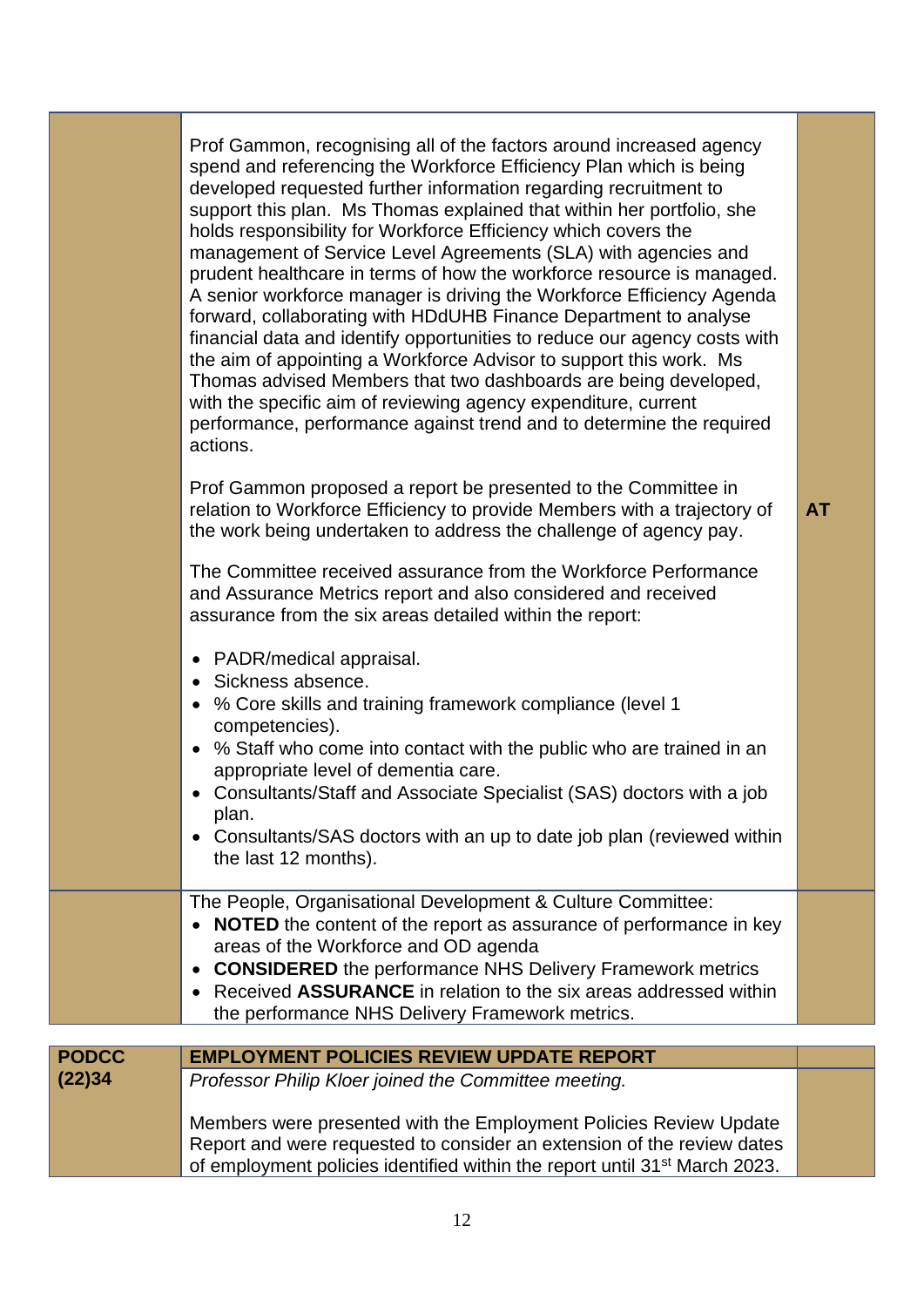|              | Prof Gammon, recognising all of the factors around increased agency<br>spend and referencing the Workforce Efficiency Plan which is being<br>developed requested further information regarding recruitment to<br>support this plan. Ms Thomas explained that within her portfolio, she<br>holds responsibility for Workforce Efficiency which covers the<br>management of Service Level Agreements (SLA) with agencies and<br>prudent healthcare in terms of how the workforce resource is managed.<br>A senior workforce manager is driving the Workforce Efficiency Agenda<br>forward, collaborating with HDdUHB Finance Department to analyse<br>financial data and identify opportunities to reduce our agency costs with<br>the aim of appointing a Workforce Advisor to support this work. Ms<br>Thomas advised Members that two dashboards are being developed,<br>with the specific aim of reviewing agency expenditure, current<br>performance, performance against trend and to determine the required<br>actions. |           |
|--------------|------------------------------------------------------------------------------------------------------------------------------------------------------------------------------------------------------------------------------------------------------------------------------------------------------------------------------------------------------------------------------------------------------------------------------------------------------------------------------------------------------------------------------------------------------------------------------------------------------------------------------------------------------------------------------------------------------------------------------------------------------------------------------------------------------------------------------------------------------------------------------------------------------------------------------------------------------------------------------------------------------------------------------|-----------|
|              | Prof Gammon proposed a report be presented to the Committee in<br>relation to Workforce Efficiency to provide Members with a trajectory of<br>the work being undertaken to address the challenge of agency pay.                                                                                                                                                                                                                                                                                                                                                                                                                                                                                                                                                                                                                                                                                                                                                                                                              | <b>AT</b> |
|              | The Committee received assurance from the Workforce Performance<br>and Assurance Metrics report and also considered and received<br>assurance from the six areas detailed within the report:                                                                                                                                                                                                                                                                                                                                                                                                                                                                                                                                                                                                                                                                                                                                                                                                                                 |           |
|              | • PADR/medical appraisal.<br>• Sickness absence.<br>• % Core skills and training framework compliance (level 1<br>competencies).<br>% Staff who come into contact with the public who are trained in an<br>$\bullet$<br>appropriate level of dementia care.<br>Consultants/Staff and Associate Specialist (SAS) doctors with a job<br>plan.<br>Consultants/SAS doctors with an up to date job plan (reviewed within<br>the last 12 months).                                                                                                                                                                                                                                                                                                                                                                                                                                                                                                                                                                                  |           |
|              | The People, Organisational Development & Culture Committee:<br><b>NOTED</b> the content of the report as assurance of performance in key<br>areas of the Workforce and OD agenda<br><b>CONSIDERED</b> the performance NHS Delivery Framework metrics<br>Received ASSURANCE in relation to the six areas addressed within<br>the performance NHS Delivery Framework metrics.                                                                                                                                                                                                                                                                                                                                                                                                                                                                                                                                                                                                                                                  |           |
| <b>PODCC</b> | <b>EMPLOYMENT POLICIES REVIEW UPDATE REPORT</b>                                                                                                                                                                                                                                                                                                                                                                                                                                                                                                                                                                                                                                                                                                                                                                                                                                                                                                                                                                              |           |
| (22)34       | Professor Philip Kloer joined the Committee meeting.                                                                                                                                                                                                                                                                                                                                                                                                                                                                                                                                                                                                                                                                                                                                                                                                                                                                                                                                                                         |           |
|              | Members were presented with the Employment Policies Review Update<br>Report and were requested to consider an extension of the review dates<br>of employment policies identified within the report until 31 <sup>st</sup> March 2023.                                                                                                                                                                                                                                                                                                                                                                                                                                                                                                                                                                                                                                                                                                                                                                                        |           |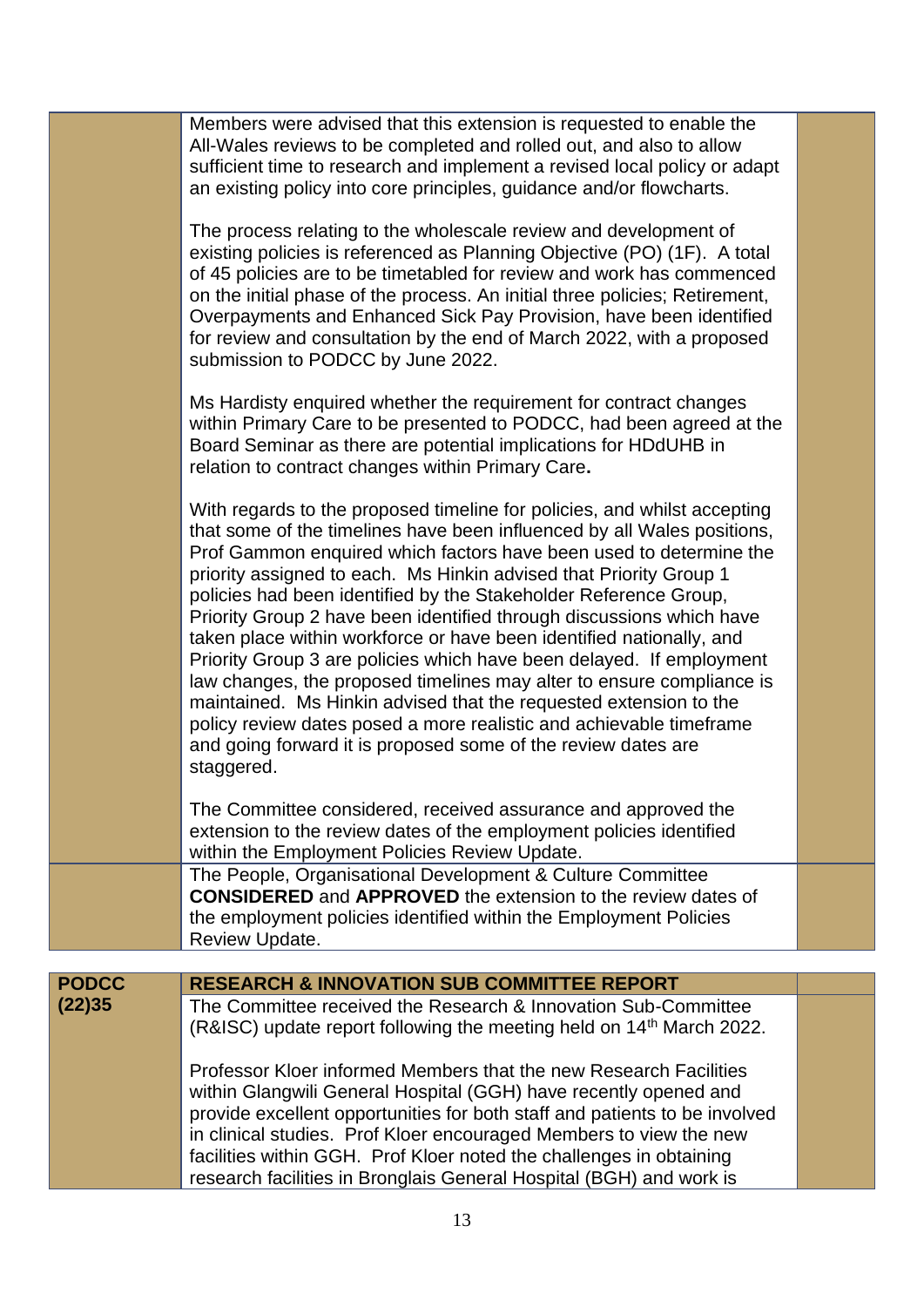|              | Members were advised that this extension is requested to enable the<br>All-Wales reviews to be completed and rolled out, and also to allow<br>sufficient time to research and implement a revised local policy or adapt<br>an existing policy into core principles, guidance and/or flowcharts.                                                                                                                                                                                                                                                                                                                                                                                                                                                                                                                                                                                                 |  |
|--------------|-------------------------------------------------------------------------------------------------------------------------------------------------------------------------------------------------------------------------------------------------------------------------------------------------------------------------------------------------------------------------------------------------------------------------------------------------------------------------------------------------------------------------------------------------------------------------------------------------------------------------------------------------------------------------------------------------------------------------------------------------------------------------------------------------------------------------------------------------------------------------------------------------|--|
|              | The process relating to the wholescale review and development of<br>existing policies is referenced as Planning Objective (PO) (1F). A total<br>of 45 policies are to be timetabled for review and work has commenced<br>on the initial phase of the process. An initial three policies; Retirement,<br>Overpayments and Enhanced Sick Pay Provision, have been identified<br>for review and consultation by the end of March 2022, with a proposed<br>submission to PODCC by June 2022.                                                                                                                                                                                                                                                                                                                                                                                                        |  |
|              | Ms Hardisty enquired whether the requirement for contract changes<br>within Primary Care to be presented to PODCC, had been agreed at the<br>Board Seminar as there are potential implications for HDdUHB in<br>relation to contract changes within Primary Care.                                                                                                                                                                                                                                                                                                                                                                                                                                                                                                                                                                                                                               |  |
|              | With regards to the proposed timeline for policies, and whilst accepting<br>that some of the timelines have been influenced by all Wales positions,<br>Prof Gammon enquired which factors have been used to determine the<br>priority assigned to each. Ms Hinkin advised that Priority Group 1<br>policies had been identified by the Stakeholder Reference Group,<br>Priority Group 2 have been identified through discussions which have<br>taken place within workforce or have been identified nationally, and<br>Priority Group 3 are policies which have been delayed. If employment<br>law changes, the proposed timelines may alter to ensure compliance is<br>maintained. Ms Hinkin advised that the requested extension to the<br>policy review dates posed a more realistic and achievable timeframe<br>and going forward it is proposed some of the review dates are<br>staggered. |  |
|              | The Committee considered, received assurance and approved the<br>extension to the review dates of the employment policies identified<br>within the Employment Policies Review Update.                                                                                                                                                                                                                                                                                                                                                                                                                                                                                                                                                                                                                                                                                                           |  |
|              | The People, Organisational Development & Culture Committee<br><b>CONSIDERED</b> and <b>APPROVED</b> the extension to the review dates of<br>the employment policies identified within the Employment Policies<br>Review Update.                                                                                                                                                                                                                                                                                                                                                                                                                                                                                                                                                                                                                                                                 |  |
|              |                                                                                                                                                                                                                                                                                                                                                                                                                                                                                                                                                                                                                                                                                                                                                                                                                                                                                                 |  |
| <b>PODCC</b> | <b>RESEARCH &amp; INNOVATION SUB COMMITTEE REPORT</b>                                                                                                                                                                                                                                                                                                                                                                                                                                                                                                                                                                                                                                                                                                                                                                                                                                           |  |
| (22)35       | The Committee received the Research & Innovation Sub-Committee<br>(R&ISC) update report following the meeting held on 14 <sup>th</sup> March 2022.                                                                                                                                                                                                                                                                                                                                                                                                                                                                                                                                                                                                                                                                                                                                              |  |
|              | Professor Kloer informed Members that the new Research Facilities<br>within Glangwili General Hospital (GGH) have recently opened and<br>provide excellent opportunities for both staff and patients to be involved<br>in clinical studies. Prof Kloer encouraged Members to view the new<br>facilities within GGH. Prof Kloer noted the challenges in obtaining<br>research facilities in Bronglais General Hospital (BGH) and work is                                                                                                                                                                                                                                                                                                                                                                                                                                                         |  |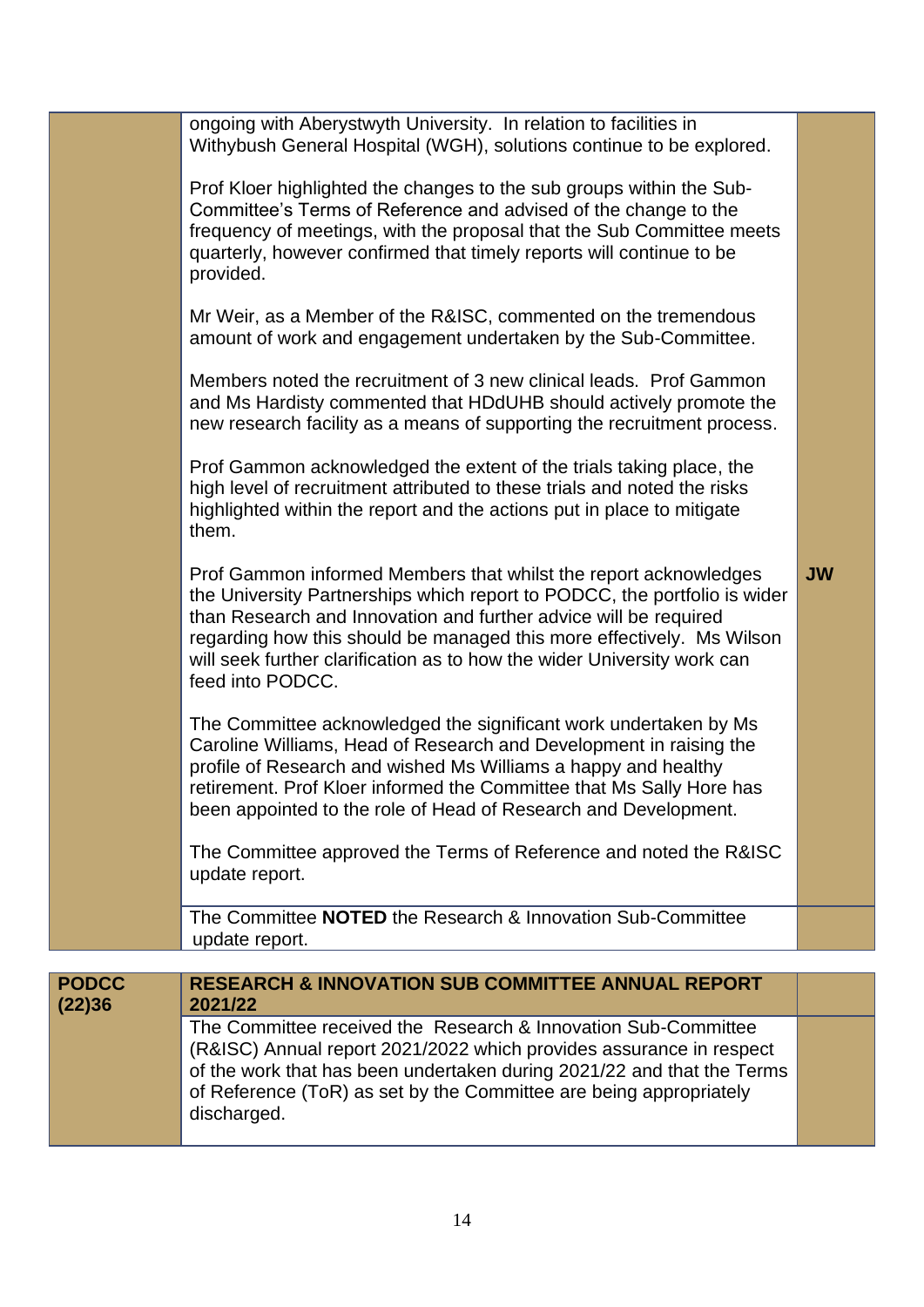|                        | ongoing with Aberystwyth University. In relation to facilities in<br>Withybush General Hospital (WGH), solutions continue to be explored.                                                                                                                                                                                                                                                 |           |
|------------------------|-------------------------------------------------------------------------------------------------------------------------------------------------------------------------------------------------------------------------------------------------------------------------------------------------------------------------------------------------------------------------------------------|-----------|
|                        | Prof Kloer highlighted the changes to the sub groups within the Sub-<br>Committee's Terms of Reference and advised of the change to the<br>frequency of meetings, with the proposal that the Sub Committee meets<br>quarterly, however confirmed that timely reports will continue to be<br>provided.                                                                                     |           |
|                        | Mr Weir, as a Member of the R&ISC, commented on the tremendous<br>amount of work and engagement undertaken by the Sub-Committee.                                                                                                                                                                                                                                                          |           |
|                        | Members noted the recruitment of 3 new clinical leads. Prof Gammon<br>and Ms Hardisty commented that HDdUHB should actively promote the<br>new research facility as a means of supporting the recruitment process.                                                                                                                                                                        |           |
|                        | Prof Gammon acknowledged the extent of the trials taking place, the<br>high level of recruitment attributed to these trials and noted the risks<br>highlighted within the report and the actions put in place to mitigate<br>them.                                                                                                                                                        |           |
|                        | Prof Gammon informed Members that whilst the report acknowledges<br>the University Partnerships which report to PODCC, the portfolio is wider<br>than Research and Innovation and further advice will be required<br>regarding how this should be managed this more effectively. Ms Wilson<br>will seek further clarification as to how the wider University work can<br>feed into PODCC. | <b>JW</b> |
|                        | The Committee acknowledged the significant work undertaken by Ms<br>Caroline Williams, Head of Research and Development in raising the<br>profile of Research and wished Ms Williams a happy and healthy<br>retirement. Prof Kloer informed the Committee that Ms Sally Hore has<br>been appointed to the role of Head of Research and Development.                                       |           |
|                        | The Committee approved the Terms of Reference and noted the R&ISC<br>update report.                                                                                                                                                                                                                                                                                                       |           |
|                        | The Committee NOTED the Research & Innovation Sub-Committee<br>update report.                                                                                                                                                                                                                                                                                                             |           |
|                        |                                                                                                                                                                                                                                                                                                                                                                                           |           |
| <b>PODCC</b><br>(22)36 | <b>RESEARCH &amp; INNOVATION SUB COMMITTEE ANNUAL REPORT</b><br>2021/22                                                                                                                                                                                                                                                                                                                   |           |
|                        | The Committee received the Research & Innovation Sub-Committee<br>(R&ISC) Annual report 2021/2022 which provides assurance in respect<br>of the work that has been undertaken during 2021/22 and that the Terms<br>of Reference (ToR) as set by the Committee are being appropriately<br>discharged.                                                                                      |           |

14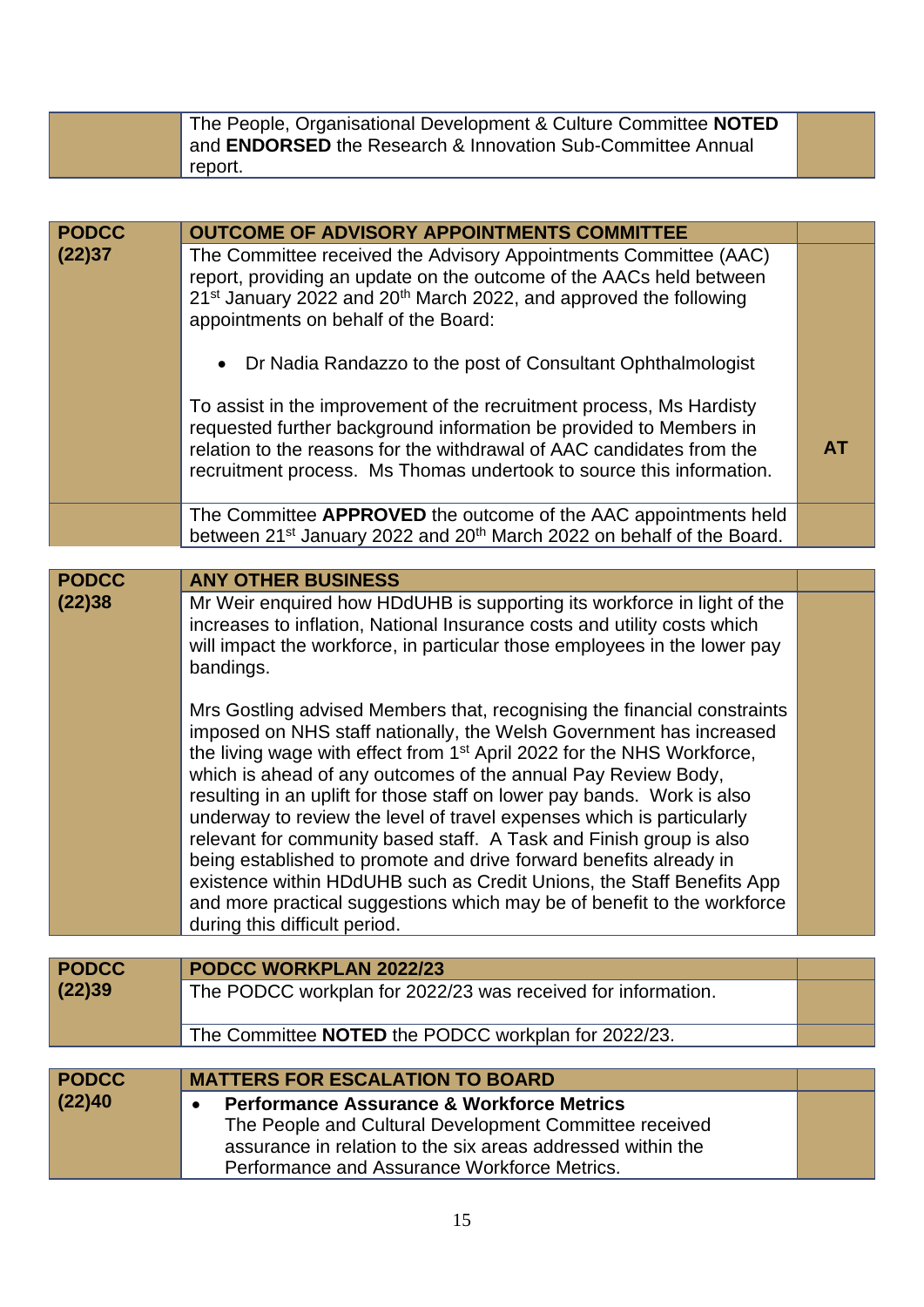| The People, Organisational Development & Culture Committee NOTED<br>and ENDORSED the Research & Innovation Sub-Committee Annual<br>report. |  |
|--------------------------------------------------------------------------------------------------------------------------------------------|--|
|--------------------------------------------------------------------------------------------------------------------------------------------|--|

| <b>PODCC</b> | <b>OUTCOME OF ADVISORY APPOINTMENTS COMMITTEE</b>                                                                                                                                                                                                                                                                                                                                                                                                                                                                                                                                                                                                                                                                                                                                            |           |
|--------------|----------------------------------------------------------------------------------------------------------------------------------------------------------------------------------------------------------------------------------------------------------------------------------------------------------------------------------------------------------------------------------------------------------------------------------------------------------------------------------------------------------------------------------------------------------------------------------------------------------------------------------------------------------------------------------------------------------------------------------------------------------------------------------------------|-----------|
| (22)37       | The Committee received the Advisory Appointments Committee (AAC)<br>report, providing an update on the outcome of the AACs held between<br>21 <sup>st</sup> January 2022 and 20 <sup>th</sup> March 2022, and approved the following<br>appointments on behalf of the Board:                                                                                                                                                                                                                                                                                                                                                                                                                                                                                                                 |           |
|              | • Dr Nadia Randazzo to the post of Consultant Ophthalmologist                                                                                                                                                                                                                                                                                                                                                                                                                                                                                                                                                                                                                                                                                                                                |           |
|              | To assist in the improvement of the recruitment process, Ms Hardisty<br>requested further background information be provided to Members in<br>relation to the reasons for the withdrawal of AAC candidates from the<br>recruitment process. Ms Thomas undertook to source this information.                                                                                                                                                                                                                                                                                                                                                                                                                                                                                                  | <b>AT</b> |
|              | The Committee APPROVED the outcome of the AAC appointments held<br>between 21 <sup>st</sup> January 2022 and 20 <sup>th</sup> March 2022 on behalf of the Board.                                                                                                                                                                                                                                                                                                                                                                                                                                                                                                                                                                                                                             |           |
|              |                                                                                                                                                                                                                                                                                                                                                                                                                                                                                                                                                                                                                                                                                                                                                                                              |           |
| <b>PODCC</b> | <b>ANY OTHER BUSINESS</b>                                                                                                                                                                                                                                                                                                                                                                                                                                                                                                                                                                                                                                                                                                                                                                    |           |
| (22)38       | Mr Weir enquired how HDdUHB is supporting its workforce in light of the<br>increases to inflation, National Insurance costs and utility costs which<br>will impact the workforce, in particular those employees in the lower pay<br>bandings.                                                                                                                                                                                                                                                                                                                                                                                                                                                                                                                                                |           |
|              | Mrs Gostling advised Members that, recognising the financial constraints<br>imposed on NHS staff nationally, the Welsh Government has increased<br>the living wage with effect from 1 <sup>st</sup> April 2022 for the NHS Workforce,<br>which is ahead of any outcomes of the annual Pay Review Body,<br>resulting in an uplift for those staff on lower pay bands. Work is also<br>underway to review the level of travel expenses which is particularly<br>relevant for community based staff. A Task and Finish group is also<br>being established to promote and drive forward benefits already in<br>existence within HDdUHB such as Credit Unions, the Staff Benefits App<br>and more practical suggestions which may be of benefit to the workforce<br>during this difficult period. |           |
| <b>PODCC</b> | PODCC WORKPLAN 2022/23                                                                                                                                                                                                                                                                                                                                                                                                                                                                                                                                                                                                                                                                                                                                                                       |           |
| (22)39       | The PODCC workplan for 2022/23 was received for information.                                                                                                                                                                                                                                                                                                                                                                                                                                                                                                                                                                                                                                                                                                                                 |           |
|              |                                                                                                                                                                                                                                                                                                                                                                                                                                                                                                                                                                                                                                                                                                                                                                                              |           |
|              | The Committee NOTED the PODCC workplan for 2022/23.                                                                                                                                                                                                                                                                                                                                                                                                                                                                                                                                                                                                                                                                                                                                          |           |
|              |                                                                                                                                                                                                                                                                                                                                                                                                                                                                                                                                                                                                                                                                                                                                                                                              |           |
| <b>PODCC</b> | <b>MATTERS FOR ESCALATION TO BOARD</b>                                                                                                                                                                                                                                                                                                                                                                                                                                                                                                                                                                                                                                                                                                                                                       |           |
| (22)40       | <b>Performance Assurance &amp; Workforce Metrics</b>                                                                                                                                                                                                                                                                                                                                                                                                                                                                                                                                                                                                                                                                                                                                         |           |

The People and Cultural Development Committee received assurance in relation to the six areas addressed within the Performance and Assurance Workforce Metrics.